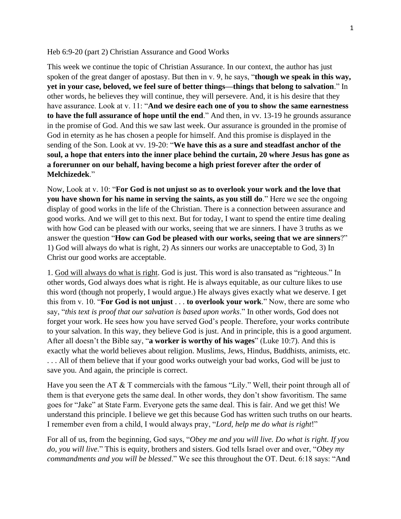## Heb 6:9-20 (part 2) Christian Assurance and Good Works

This week we continue the topic of Christian Assurance. In our context, the author has just spoken of the great danger of apostasy. But then in v. 9, he says, "**though we speak in this way, yet in your case, beloved, we feel sure of better things—things that belong to salvation**." In other words, he believes they will continue, they will persevere. And, it is his desire that they have assurance. Look at v. 11: "**And we desire each one of you to show the same earnestness to have the full assurance of hope until the end**." And then, in vv. 13-19 he grounds assurance in the promise of God. And this we saw last week. Our assurance is grounded in the promise of God in eternity as he has chosen a people for himself. And this promise is displayed in the sending of the Son. Look at vv. 19-20: "**We have this as a sure and steadfast anchor of the soul, a hope that enters into the inner place behind the curtain, 20 where Jesus has gone as a forerunner on our behalf, having become a high priest forever after the order of Melchizedek**."

Now, Look at v. 10: "**For God is not unjust so as to overlook your work and the love that you have shown for his name in serving the saints, as you still do**." Here we see the ongoing display of good works in the life of the Christian. There is a connection between assurance and good works. And we will get to this next. But for today, I want to spend the entire time dealing with how God can be pleased with our works, seeing that we are sinners. I have 3 truths as we answer the question "**How can God be pleased with our works, seeing that we are sinners**?" 1) God will always do what is right, 2) As sinners our works are unacceptable to God, 3) In Christ our good works are acceptable.

1. God will always do what is right. God is just. This word is also transated as "righteous." In other words, God always does what is right. He is always equitable, as our culture likes to use this word (though not properly, I would argue.) He always gives exactly what we deserve. I get this from v. 10. "**For God is not unjust** . . . **to overlook your work**." Now, there are some who say, "*this text is proof that our salvation is based upon works*." In other words, God does not forget your work. He sees how you have served God's people. Therefore, your works contribute to your salvation. In this way, they believe God is just. And in principle, this is a good argument. After all doesn't the Bible say, "**a worker is worthy of his wages**" (Luke 10:7). And this is exactly what the world believes about religion. Muslims, Jews, Hindus, Buddhists, animists, etc. ... All of them believe that if your good works outweigh your bad works, God will be just to save you. And again, the principle is correct.

Have you seen the AT & T commercials with the famous "Lily." Well, their point through all of them is that everyone gets the same deal. In other words, they don't show favoritism. The same goes for "Jake" at State Farm. Everyone gets the same deal. This is fair. And we get this! We understand this principle. I believe we get this because God has written such truths on our hearts. I remember even from a child, I would always pray, "*Lord, help me do what is right*!"

For all of us, from the beginning, God says, "*Obey me and you will live. Do what is right. If you do, you will live*." This is equity, brothers and sisters. God tells Israel over and over, "*Obey my commandments and you will be blessed*." We see this throughout the OT. Deut. 6:18 says: "**And**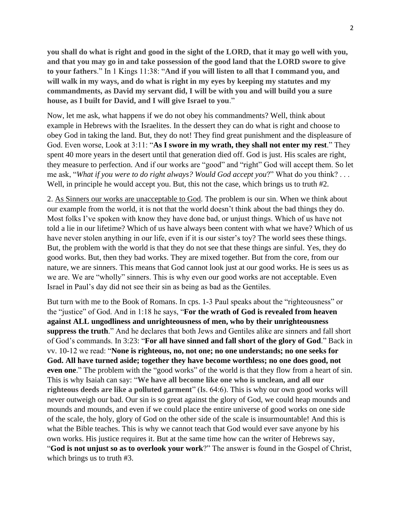**you shall do what is right and good in the sight of the LORD, that it may go well with you, and that you may go in and take possession of the good land that the LORD swore to give to your fathers**." In 1 Kings 11:38: "**And if you will listen to all that I command you, and will walk in my ways, and do what is right in my eyes by keeping my statutes and my commandments, as David my servant did, I will be with you and will build you a sure house, as I built for David, and I will give Israel to you**."

Now, let me ask, what happens if we do not obey his commandments? Well, think about example in Hebrews with the Israelites. In the dessert they can do what is right and choose to obey God in taking the land. But, they do not! They find great punishment and the displeasure of God. Even worse, Look at 3:11: "**As I swore in my wrath, they shall not enter my rest**." They spent 40 more years in the desert until that generation died off. God is just. His scales are right, they measure to perfection. And if our works are "good" and "right" God will accept them. So let me ask, "*What if you were to do right always? Would God accept you*?" What do you think? . . . Well, in principle he would accept you. But, this not the case, which brings us to truth #2.

2. As Sinners our works are unacceptable to God. The problem is our sin. When we think about our example from the world, it is not that the world doesn't think about the bad things they do. Most folks I've spoken with know they have done bad, or unjust things. Which of us have not told a lie in our lifetime? Which of us have always been content with what we have? Which of us have never stolen anything in our life, even if it is our sister's toy? The world sees these things. But, the problem with the world is that they do not see that these things are sinful. Yes, they do good works. But, then they bad works. They are mixed together. But from the core, from our nature, we are sinners. This means that God cannot look just at our good works. He is sees us as we are. We are "wholly" sinners. This is why even our good works are not acceptable. Even Israel in Paul's day did not see their sin as being as bad as the Gentiles.

But turn with me to the Book of Romans. In cps. 1-3 Paul speaks about the "righteousness" or the "justice" of God. And in 1:18 he says, "**For the wrath of God is revealed from heaven against ALL ungodliness and unrighteousness of men, who by their unrighteousness suppress the truth**." And he declares that both Jews and Gentiles alike are sinners and fall short of God's commands. In 3:23: "**For all have sinned and fall short of the glory of God**." Back in vv. 10-12 we read: "**None is righteous, no, not one; no one understands; no one seeks for God. All have turned aside; together they have become worthless; no one does good, not even one**." The problem with the "good works" of the world is that they flow from a heart of sin. This is why Isaiah can say: "**We have all become like one who is unclean, and all our righteous deeds are like a polluted garment**" (Is. 64:6). This is why our own good works will never outweigh our bad. Our sin is so great against the glory of God, we could heap mounds and mounds and mounds, and even if we could place the entire universe of good works on one side of the scale, the holy, glory of God on the other side of the scale is insurmountable! And this is what the Bible teaches. This is why we cannot teach that God would ever save anyone by his own works. His justice requires it. But at the same time how can the writer of Hebrews say, "**God is not unjust so as to overlook your work**?" The answer is found in the Gospel of Christ, which brings us to truth #3.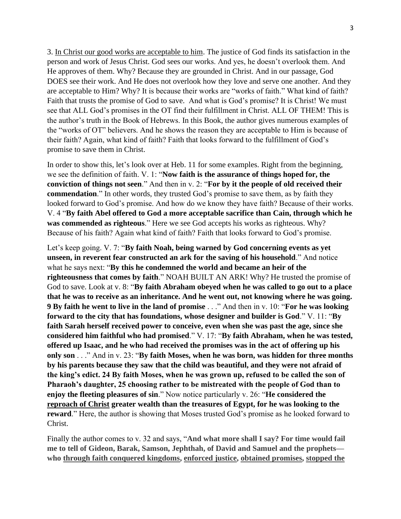3. In Christ our good works are acceptable to him. The justice of God finds its satisfaction in the person and work of Jesus Christ. God sees our works. And yes, he doesn't overlook them. And He approves of them. Why? Because they are grounded in Christ. And in our passage, God DOES see their work. And He does not overlook how they love and serve one another. And they are acceptable to Him? Why? It is because their works are "works of faith." What kind of faith? Faith that trusts the promise of God to save. And what is God's promise? It is Christ! We must see that ALL God's promises in the OT find their fulfillment in Christ. ALL OF THEM! This is the author's truth in the Book of Hebrews. In this Book, the author gives numerous examples of the "works of OT" believers. And he shows the reason they are acceptable to Him is because of their faith? Again, what kind of faith? Faith that looks forward to the fulfillment of God's promise to save them in Christ.

In order to show this, let's look over at Heb. 11 for some examples. Right from the beginning, we see the definition of faith. V. 1: "**Now faith is the assurance of things hoped for, the conviction of things not seen**." And then in v. 2: "**For by it the people of old received their commendation**." In other words, they trusted God's promise to save them, as by faith they looked forward to God's promise. And how do we know they have faith? Because of their works. V. 4 "**By faith Abel offered to God a more acceptable sacrifice than Cain, through which he was commended as righteous**." Here we see God accepts his works as righteous. Why? Because of his faith? Again what kind of faith? Faith that looks forward to God's promise.

Let's keep going. V. 7: "**By faith Noah, being warned by God concerning events as yet unseen, in reverent fear constructed an ark for the saving of his household**." And notice what he says next: "**By this he condemned the world and became an heir of the righteousness that comes by faith**." NOAH BUILT AN ARK! Why? He trusted the promise of God to save. Look at v. 8: "**By faith Abraham obeyed when he was called to go out to a place that he was to receive as an inheritance. And he went out, not knowing where he was going. 9 By faith he went to live in the land of promise** . . ." And then in v. 10: "**For he was looking forward to the city that has foundations, whose designer and builder is God**." V. 11: "**By faith Sarah herself received power to conceive, even when she was past the age, since she considered him faithful who had promised**." V. 17: "**By faith Abraham, when he was tested, offered up Isaac, and he who had received the promises was in the act of offering up his only son** . . ." And in v. 23: "**By faith Moses, when he was born, was hidden for three months by his parents because they saw that the child was beautiful, and they were not afraid of the king's edict. 24 By faith Moses, when he was grown up, refused to be called the son of Pharaoh's daughter, 25 choosing rather to be mistreated with the people of God than to enjoy the fleeting pleasures of sin**." Now notice particularly v. 26: "**He considered the reproach of Christ greater wealth than the treasures of Egypt, for he was looking to the reward**." Here, the author is showing that Moses trusted God's promise as he looked forward to Christ.

Finally the author comes to v. 32 and says, "**And what more shall I say? For time would fail me to tell of Gideon, Barak, Samson, Jephthah, of David and Samuel and the prophets who through faith conquered kingdoms, enforced justice, obtained promises, stopped the**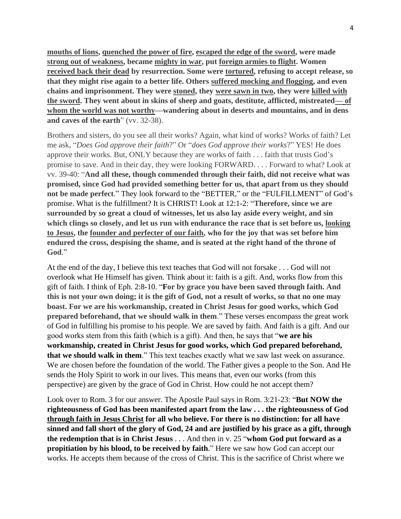**mouths of lions, quenched the power of fire, escaped the edge of the sword, were made strong out of weakness, became mighty in war, put foreign armies to flight. Women received back their dead by resurrection. Some were tortured, refusing to accept release, so that they might rise again to a better life. Others suffered mocking and flogging, and even chains and imprisonment. They were stoned, they were sawn in two, they were killed with the sword. They went about in skins of sheep and goats, destitute, afflicted, mistreated— of whom the world was not worthy—wandering about in deserts and mountains, and in dens and caves of the earth**" (vv. 32-38).

Brothers and sisters, do you see all their works? Again, what kind of works? Works of faith? Let me ask, "*Does God approve their faith*?" Or "*does God approve their works*?" YES! He does approve their works. But, ONLY because they are works of faith . . . faith that trusts God's promise to save. And in their day, they were looking FORWARD. . . . Forward to what? Look at vv. 39-40: "**And all these, though commended through their faith, did not receive what was promised, since God had provided something better for us, that apart from us they should not be made perfect**." They look forward to the "BETTER," or the "FULFILLMENT" of God's promise. What is the fulfillment? It is CHRIST! Look at 12:1-2: "**Therefore, since we are surrounded by so great a cloud of witnesses, let us also lay aside every weight, and sin which clings so closely, and let us run with endurance the race that is set before us, looking to Jesus, the founder and perfecter of our faith, who for the joy that was set before him endured the cross, despising the shame, and is seated at the right hand of the throne of God**."

At the end of the day, I believe this text teaches that God will not forsake . . . God will not overlook what He Himself has given. Think about it: faith is a gift. And, works flow from this gift of faith. I think of Eph. 2:8-10. "**For by grace you have been saved through faith. And this is not your own doing; it is the gift of God, not a result of works, so that no one may boast. For we are his workmanship, created in Christ Jesus for good works, which God prepared beforehand, that we should walk in them**." These verses encompass the great work of God in fulfilling his promise to his people. We are saved by faith. And faith is a gift. And our good works stem from this faith (which is a gift). And then, he says that "**we are his workmanship, created in Christ Jesus for good works, which God prepared beforehand, that we should walk in them**." This text teaches exactly what we saw last week on assurance. We are chosen before the foundation of the world. The Father gives a people to the Son. And He sends the Holy Spirit to work in our lives. This means that, even our works (from this perspective) are given by the grace of God in Christ. How could he not accept them?

Look over to Rom. 3 for our answer. The Apostle Paul says in Rom. 3:21-23: "**But NOW the righteousness of God has been manifested apart from the law . . . the righteousness of God through faith in Jesus Christ for all who believe. For there is no distinction: for all have sinned and fall short of the glory of God, 24 and are justified by his grace as a gift, through the redemption that is in Christ Jesus** . . . And then in v. 25 "**whom God put forward as a propitiation by his blood, to be received by faith**." Here we saw how God can accept our works. He accepts them because of the cross of Christ. This is the sacrifice of Christ where we